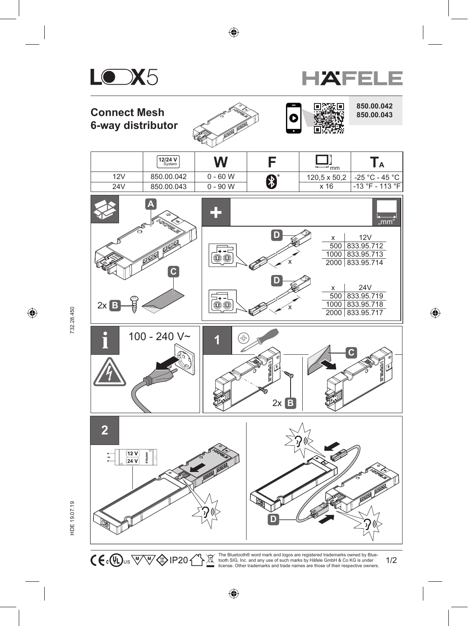





 $\overline{\mathbb{X}}$ 

1/2 tooth SIG, Inc. and any use of such marks by Häfele GmbH & Co KG is under license. Other trademarks and trade names are those of their respective owners.